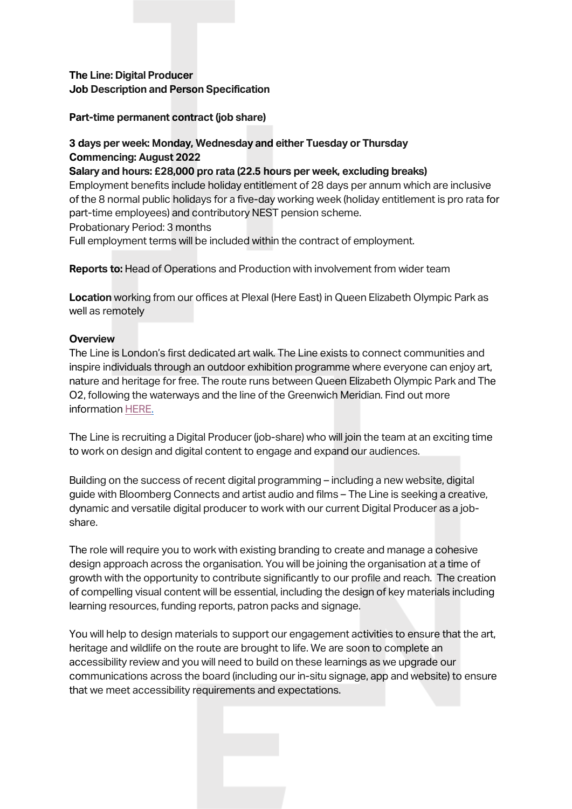**The Line: Digital Producer Job Description and Person Specification**

#### **Part-time permanent contract (job share)**

## **3 days per week: Monday, Wednesday and either Tuesday or Thursday Commencing: August 2022**

**Salary and hours: £28,000 pro rata (22.5 hours per week, excluding breaks)**  Employment benefits include holiday entitlement of 28 days per annum which are inclusive of the 8 normal public holidays for a five-day working week (holiday entitlement is pro rata for part-time employees) and contributory NEST pension scheme. Probationary Period: 3 months Full employment terms will be included within the contract of employment.

**Reports to:** Head of Operations and Production with involvement from wider team

**Location** working from our offices at Plexal (Here East) in Queen Elizabeth Olympic Park as well as remotely

#### **Overview**

The Line is London's first dedicated art walk. The Line exists to connect communities and inspire individuals through an outdoor exhibition programme where everyone can enjoy art, nature and heritage for free. The route runs between Queen Elizabeth Olympic Park and The O2, following the waterways and the line of the Greenwich Meridian. Find out more information [HERE.](https://the-line.org/)

The Line is recruiting a Digital Producer (job-share) who will join the team at an exciting time to work on design and digital content to engage and expand our audiences.

Building on the success of recent digital programming – including a new website, digital guide with Bloomberg Connects and artist audio and films – The Line is seeking a creative, dynamic and versatile digital producer to work with our current Digital Producer as a jobshare.

The role will require you to work with existing branding to create and manage a cohesive design approach across the organisation. You will be joining the organisation at a time of growth with the opportunity to contribute significantly to our profile and reach. The creation of compelling visual content will be essential, including the design of key materials including learning resources, funding reports, patron packs and signage.

You will help to design materials to support our engagement activities to ensure that the art, heritage and wildlife on the route are brought to life. We are soon to complete an accessibility review and you will need to build on these learnings as we upgrade our communications across the board (including our in-situ signage, app and website) to ensure that we meet accessibility requirements and expectations.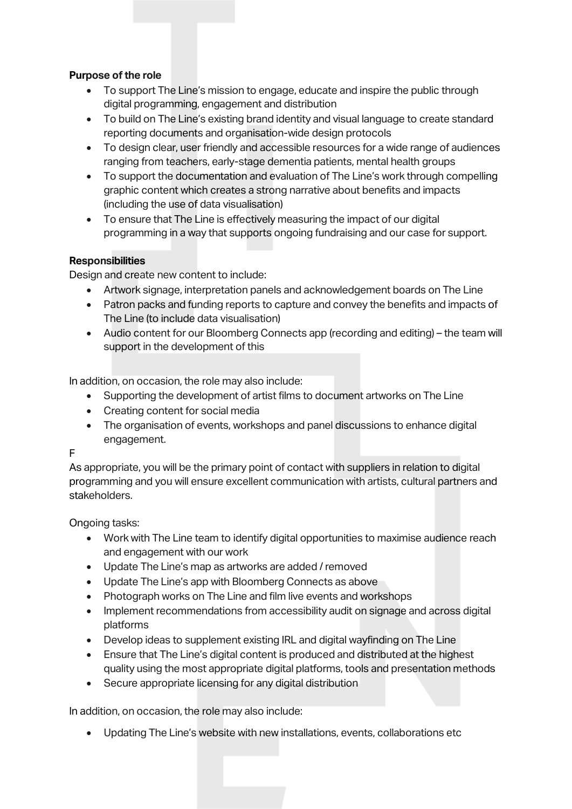## **Purpose of the role**

- To support The Line's mission to engage, educate and inspire the public through digital programming, engagement and distribution
- To build on The Line's existing brand identity and visual language to create standard reporting documents and organisation-wide design protocols
- To design clear, user friendly and accessible resources for a wide range of audiences ranging from teachers, early-stage dementia patients, mental health groups
- To support the documentation and evaluation of The Line's work through compelling graphic content which creates a strong narrative about benefits and impacts (including the use of data visualisation)
- To ensure that The Line is effectively measuring the impact of our digital programming in a way that supports ongoing fundraising and our case for support.

# **Responsibilities**

Design and create new content to include:

- Artwork signage, interpretation panels and acknowledgement boards on The Line
- Patron packs and funding reports to capture and convey the benefits and impacts of The Line (to include data visualisation)
- Audio content for our Bloomberg Connects app (recording and editing) the team will support in the development of this

In addition, on occasion, the role may also include:

- Supporting the development of artist films to document artworks on The Line
- Creating content for social media
- The organisation of events, workshops and panel discussions to enhance digital engagement.

F

As appropriate, you will be the primary point of contact with suppliers in relation to digital programming and you will ensure excellent communication with artists, cultural partners and stakeholders.

Ongoing tasks:

- Work with The Line team to identify digital opportunities to maximise audience reach and engagement with our work
- Update The Line's map as artworks are added / removed
- Update The Line's app with Bloomberg Connects as above
- Photograph works on The Line and film live events and workshops
- Implement recommendations from accessibility audit on signage and across digital platforms
- Develop ideas to supplement existing IRL and digital wayfinding on The Line
- Ensure that The Line's digital content is produced and distributed at the highest quality using the most appropriate digital platforms, tools and presentation methods
- Secure appropriate licensing for any digital distribution

In addition, on occasion, the role may also include:

• Updating The Line's website with new installations, events, collaborations etc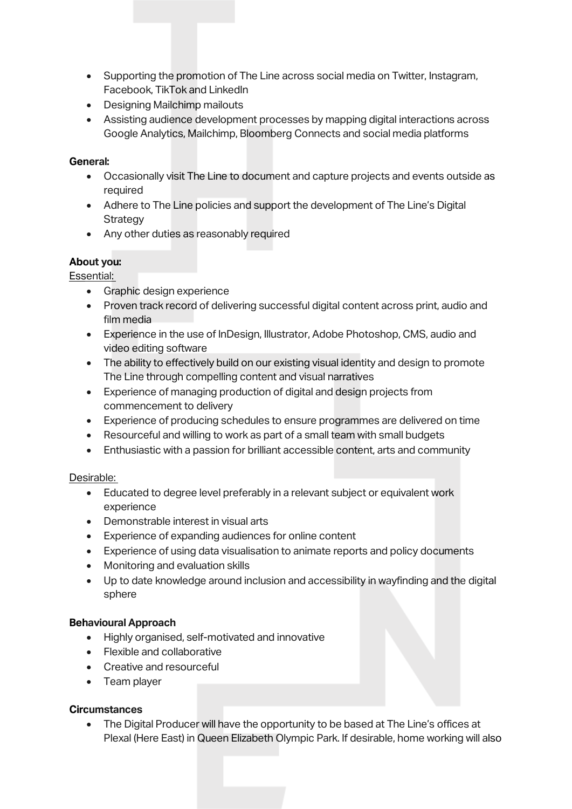- Supporting the promotion of The Line across social media on Twitter, Instagram, Facebook, TikTok and LinkedIn
- Designing Mailchimp mailouts
- Assisting audience development processes by mapping digital interactions across Google Analytics, Mailchimp, Bloomberg Connects and social media platforms

#### **General:**

- Occasionally visit The Line to document and capture projects and events outside as required
- Adhere to The Line policies and support the development of The Line's Digital **Strategy**
- Any other duties as reasonably required

## **About you:**

Essential:

- Graphic design experience
- Proven track record of delivering successful digital content across print, audio and film media
- Experience in the use of InDesign, Illustrator, Adobe Photoshop, CMS, audio and video editing software
- The ability to effectively build on our existing visual identity and design to promote The Line through compelling content and visual narratives
- Experience of managing production of digital and design projects from commencement to delivery
- Experience of producing schedules to ensure programmes are delivered on time
- Resourceful and willing to work as part of a small team with small budgets
- Enthusiastic with a passion for brilliant accessible content, arts and community

## Desirable:

- Educated to degree level preferably in a relevant subject or equivalent work experience
- Demonstrable interest in visual arts
- Experience of expanding audiences for online content
- Experience of using data visualisation to animate reports and policy documents
- Monitoring and evaluation skills
- Up to date knowledge around inclusion and accessibility in wayfinding and the digital sphere

## **Behavioural Approach**

- Highly organised, self-motivated and innovative
- Flexible and collaborative
- Creative and resourceful
- Team player

## **Circumstances**

• The Digital Producer will have the opportunity to be based at The Line's offices at Plexal (Here East) in Queen Elizabeth Olympic Park. If desirable, home working will also